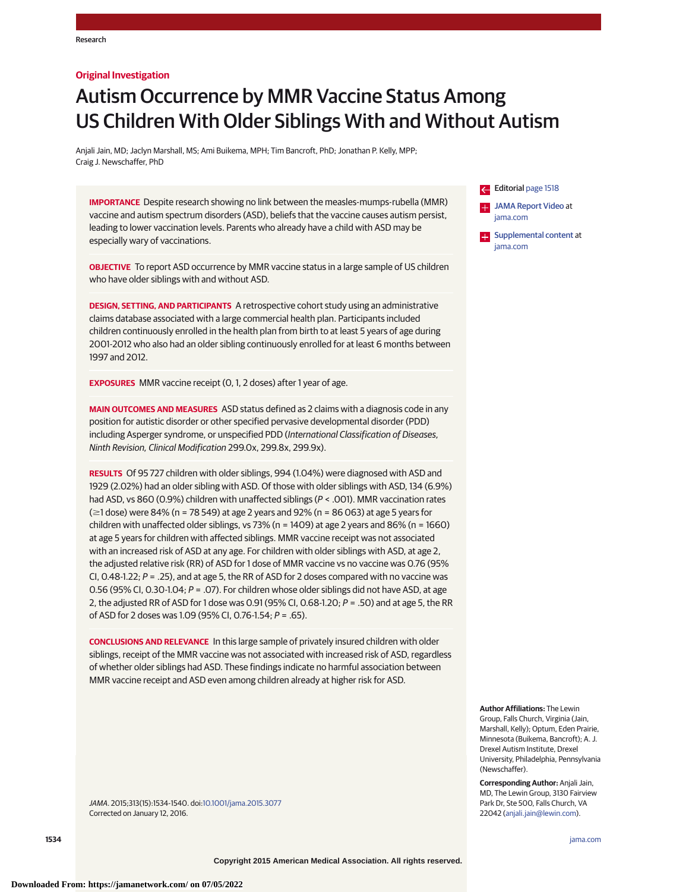#### **Original Investigation**

# Autism Occurrence by MMR Vaccine Status Among US Children With Older Siblings With and Without Autism

Anjali Jain, MD; Jaclyn Marshall, MS; Ami Buikema, MPH; Tim Bancroft, PhD; Jonathan P. Kelly, MPP; Craig J. Newschaffer, PhD

**IMPORTANCE** Despite research showing no link between the measles-mumps-rubella (MMR) vaccine and autism spectrum disorders (ASD), beliefs that the vaccine causes autism persist, leading to lower vaccination levels. Parents who already have a child with ASD may be especially wary of vaccinations.

**OBJECTIVE** To report ASD occurrence by MMR vaccine status in a large sample of US children who have older siblings with and without ASD.

**DESIGN, SETTING, AND PARTICIPANTS** A retrospective cohort study using an administrative claims database associated with a large commercial health plan. Participants included children continuously enrolled in the health plan from birth to at least 5 years of age during 2001-2012 who also had an older sibling continuously enrolled for at least 6 months between 1997 and 2012.

**EXPOSURES** MMR vaccine receipt (0, 1, 2 doses) after 1 year of age.

**MAIN OUTCOMES AND MEASURES** ASD status defined as 2 claims with a diagnosis code in any position for autistic disorder or other specified pervasive developmental disorder (PDD) including Asperger syndrome, or unspecified PDD (International Classification of Diseases, Ninth Revision, Clinical Modification 299.0x, 299.8x, 299.9x).

**RESULTS** Of 95 727 children with older siblings, 994 (1.04%) were diagnosed with ASD and 1929 (2.02%) had an older sibling with ASD. Of those with older siblings with ASD, 134 (6.9%) had ASD, vs 860 (0.9%) children with unaffected siblings (P < .001). MMR vaccination rates (≥1 dose) were 84% (n = 78 549) at age 2 years and 92% (n = 86 063) at age 5 years for children with unaffected older siblings, vs 73% (n = 1409) at age 2 years and 86% (n = 1660) at age 5 years for children with affected siblings. MMR vaccine receipt was not associated with an increased risk of ASD at any age. For children with older siblings with ASD, at age 2, the adjusted relative risk (RR) of ASD for 1 dose of MMR vaccine vs no vaccine was 0.76 (95% CI, 0.48-1.22;  $P = 0.25$ , and at age 5, the RR of ASD for 2 doses compared with no vaccine was 0.56 (95% CI, 0.30-1.04; P = .07). For children whose older siblings did not have ASD, at age 2, the adjusted RR of ASD for 1 dose was 0.91 (95% CI, 0.68-1.20;  $P = 0.50$ ) and at age 5, the RR of ASD for 2 doses was 1.09 (95% CI, 0.76-1.54; P = .65).

**CONCLUSIONS AND RELEVANCE** In this large sample of privately insured children with older siblings, receipt of the MMR vaccine was not associated with increased risk of ASD, regardless of whether older siblings had ASD. These findings indicate no harmful association between MMR vaccine receipt and ASD even among children already at higher risk for ASD.

JAMA. 2015;313(15):1534-1540. doi[:10.1001/jama.2015.3077](http://jama.jamanetwork.com/article.aspx?doi=10.1001/jama.2015.3077&utm_campaign=articlePDF%26utm_medium=articlePDFlink%26utm_source=articlePDF%26utm_content=jama.2015.3077) Corrected on January 12, 2016.



**Author Affiliations:** The Lewin Group, Falls Church, Virginia (Jain, Marshall, Kelly); Optum, Eden Prairie, Minnesota (Buikema, Bancroft); A. J. Drexel Autism Institute, Drexel University, Philadelphia, Pennsylvania (Newschaffer).

**Corresponding Author:** Anjali Jain, MD, The Lewin Group, 3130 Fairview Park Dr, Ste 500, Falls Church, VA 22042 [\(anjali.jain@lewin.com\)](mailto:anjali.jain@lewin.com).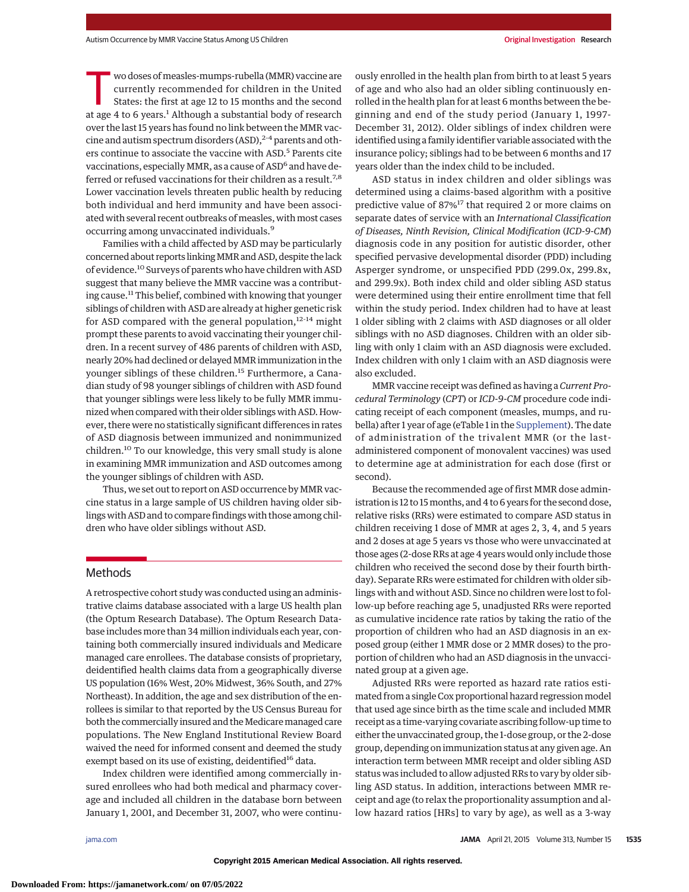wo doses of measles-mumps-rubella (MMR) vaccine are currently recommended for children in the United States: the first at age 12 to 15 months and the second at age 4 to 6 years.<sup>1</sup> Although a substantial body of research over the last 15 years has found no link between the MMR vaccine and autism spectrum disorders (ASD),  $2-4$  parents and others continue to associate the vaccine with ASD.<sup>5</sup> Parents cite vaccinations, especially MMR, as a cause of ASD<sup>6</sup> and have deferred or refused vaccinations for their children as a result.<sup>7,8</sup> Lower vaccination levels threaten public health by reducing both individual and herd immunity and have been associated with several recent outbreaks of measles, with most cases occurring among unvaccinated individuals.<sup>9</sup>

Families with a child affected by ASD may be particularly concerned about reports linkingMMR and ASD, despite the lack of evidence.10 Surveys of parents who have children with ASD suggest that many believe the MMR vaccine was a contributing cause.<sup>11</sup> This belief, combined with knowing that younger siblings of children with ASD are already at higher genetic risk for ASD compared with the general population, $12-14$  might prompt these parents to avoid vaccinating their younger children. In a recent survey of 486 parents of children with ASD, nearly 20% had declined or delayedMMR immunization in the younger siblings of these children.<sup>15</sup> Furthermore, a Canadian study of 98 younger siblings of children with ASD found that younger siblings were less likely to be fully MMR immunized when compared with their older siblings with ASD. However, there were no statistically significant differences in rates of ASD diagnosis between immunized and nonimmunized children.<sup>10</sup> To our knowledge, this very small study is alone in examining MMR immunization and ASD outcomes among the younger siblings of children with ASD.

Thus, we set out to report on ASD occurrence by MMR vaccine status in a large sample of US children having older siblings with ASD and to compare findings with those among children who have older siblings without ASD.

## Methods

A retrospective cohort study was conducted using an administrative claims database associated with a large US health plan (the Optum Research Database). The Optum Research Database includes more than 34 million individuals each year, containing both commercially insured individuals and Medicare managed care enrollees. The database consists of proprietary, deidentified health claims data from a geographically diverse US population (16% West, 20% Midwest, 36% South, and 27% Northeast). In addition, the age and sex distribution of the enrollees is similar to that reported by the US Census Bureau for both the commercially insured and the Medicare managed care populations. The New England Institutional Review Board waived the need for informed consent and deemed the study exempt based on its use of existing, deidentified<sup>16</sup> data.

Index children were identified among commercially insured enrollees who had both medical and pharmacy coverage and included all children in the database born between January 1, 2001, and December 31, 2007, who were continuously enrolled in the health plan from birth to at least 5 years of age and who also had an older sibling continuously enrolled in the health plan for at least 6 months between the beginning and end of the study period (January 1, 1997- December 31, 2012). Older siblings of index children were identified using a family identifier variable associated with the insurance policy; siblings had to be between 6 months and 17 years older than the index child to be included.

ASD status in index children and older siblings was determined using a claims-based algorithm with a positive predictive value of 87%<sup>17</sup> that required 2 or more claims on separate dates of service with an *International Classification of Diseases, Ninth Revision, Clinical Modification* (*ICD-9-CM*) diagnosis code in any position for autistic disorder, other specified pervasive developmental disorder (PDD) including Asperger syndrome, or unspecified PDD (299.0x, 299.8x, and 299.9x). Both index child and older sibling ASD status were determined using their entire enrollment time that fell within the study period. Index children had to have at least 1 older sibling with 2 claims with ASD diagnoses or all older siblings with no ASD diagnoses. Children with an older sibling with only 1 claim with an ASD diagnosis were excluded. Index children with only 1 claim with an ASD diagnosis were also excluded.

MMR vaccine receipt was defined as having a *Current Procedural Terminology* (*CPT*) or *ICD-9-CM* procedure code indicating receipt of each component (measles, mumps, and rubella) after 1 year of age (eTable 1 in the [Supplement\)](http://jama.jamanetwork.com/article.aspx?doi=10.1001/jama.2015.3077&utm_campaign=articlePDF%26utm_medium=articlePDFlink%26utm_source=articlePDF%26utm_content=jama.2015.3077). The date of administration of the trivalent MMR (or the lastadministered component of monovalent vaccines) was used to determine age at administration for each dose (first or second).

Because the recommended age of first MMR dose administration is 12 to 15 months, and 4 to 6 years for the second dose, relative risks (RRs) were estimated to compare ASD status in children receiving 1 dose of MMR at ages 2, 3, 4, and 5 years and 2 doses at age 5 years vs those who were unvaccinated at those ages (2-dose RRs at age 4 years would only include those children who received the second dose by their fourth birthday). Separate RRs were estimated for children with older siblings with and without ASD. Since no children were lost to follow-up before reaching age 5, unadjusted RRs were reported as cumulative incidence rate ratios by taking the ratio of the proportion of children who had an ASD diagnosis in an exposed group (either 1 MMR dose or 2 MMR doses) to the proportion of children who had an ASD diagnosis in the unvaccinated group at a given age.

Adjusted RRs were reported as hazard rate ratios estimated from a single Cox proportional hazard regression model that used age since birth as the time scale and included MMR receipt as a time-varying covariate ascribing follow-up time to either the unvaccinated group, the 1-dose group, or the 2-dose group, depending on immunization status at any given age. An interaction term between MMR receipt and older sibling ASD status was included to allow adjusted RRs to vary by older sibling ASD status. In addition, interactions between MMR receipt and age (to relax the proportionality assumption and allow hazard ratios [HRs] to vary by age), as well as a 3-way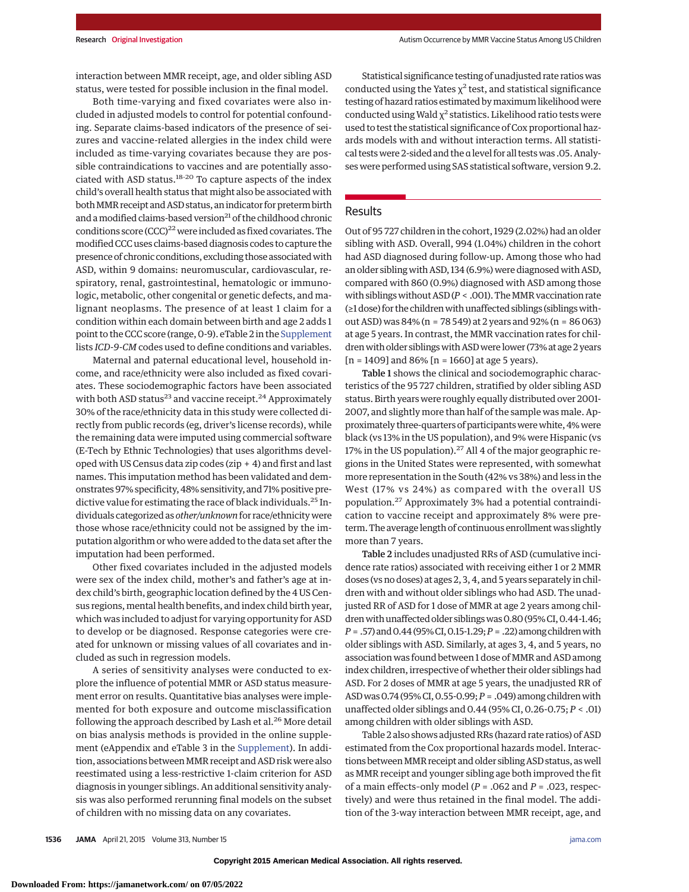interaction between MMR receipt, age, and older sibling ASD status, were tested for possible inclusion in the final model.

Both time-varying and fixed covariates were also included in adjusted models to control for potential confounding. Separate claims-based indicators of the presence of seizures and vaccine-related allergies in the index child were included as time-varying covariates because they are possible contraindications to vaccines and are potentially associated with ASD status.<sup>18-20</sup> To capture aspects of the index child's overall health status that might also be associated with both MMR receipt and ASD status, an indicator for preterm birth and a modified claims-based version<sup>21</sup> of the childhood chronic conditions score  $(CCC)^{22}$  were included as fixed covariates. The modified CCC uses claims-based diagnosis codes to capture the presence of chronic conditions, excluding those associated with ASD, within 9 domains: neuromuscular, cardiovascular, respiratory, renal, gastrointestinal, hematologic or immunologic, metabolic, other congenital or genetic defects, and malignant neoplasms. The presence of at least 1 claim for a condition within each domain between birth and age 2 adds 1 point to the CCC score (range, 0-9). eTable 2 in the [Supplement](http://jama.jamanetwork.com/article.aspx?doi=10.1001/jama.2015.3077&utm_campaign=articlePDF%26utm_medium=articlePDFlink%26utm_source=articlePDF%26utm_content=jama.2015.3077) lists *ICD-9-CM* codes used to define conditions and variables.

Maternal and paternal educational level, household income, and race/ethnicity were also included as fixed covariates. These sociodemographic factors have been associated with both ASD status<sup>23</sup> and vaccine receipt.<sup>24</sup> Approximately 30% of the race/ethnicity data in this study were collected directly from public records (eg, driver's license records), while the remaining data were imputed using commercial software (E-Tech by Ethnic Technologies) that uses algorithms developed with US Census data zip codes (zip + 4) and first and last names. This imputation method has been validated and demonstrates 97% specificity, 48% sensitivity, and 71% positive predictive value for estimating the race of black individuals.<sup>25</sup> Individuals categorized as *other/unknown*for race/ethnicity were those whose race/ethnicity could not be assigned by the imputation algorithm or who were added to the data set after the imputation had been performed.

Other fixed covariates included in the adjusted models were sex of the index child, mother's and father's age at index child's birth, geographic location defined by the 4 US Census regions, mental health benefits, and index child birth year, which was included to adjust for varying opportunity for ASD to develop or be diagnosed. Response categories were created for unknown or missing values of all covariates and included as such in regression models.

A series of sensitivity analyses were conducted to explore the influence of potential MMR or ASD status measurement error on results. Quantitative bias analyses were implemented for both exposure and outcome misclassification following the approach described by Lash et al. $^{26}$  More detail on bias analysis methods is provided in the online supplement (eAppendix and eTable 3 in the [Supplement\)](http://jama.jamanetwork.com/article.aspx?doi=10.1001/jama.2015.3077&utm_campaign=articlePDF%26utm_medium=articlePDFlink%26utm_source=articlePDF%26utm_content=jama.2015.3077). In addition, associations betweenMMR receipt and ASD risk were also reestimated using a less-restrictive 1-claim criterion for ASD diagnosis in younger siblings. An additional sensitivity analysis was also performed rerunning final models on the subset of children with no missing data on any covariates.

Statistical significance testing of unadjusted rate ratios was conducted using the Yates  $\chi^2$  test, and statistical significance testing of hazard ratios estimated bymaximum likelihood were conducted using Wald  $\chi^2$  statistics. Likelihood ratio tests were used to test the statistical significance of Cox proportional hazards models with and without interaction terms. All statistical tests were 2-sided and the α level for all tests was .05. Analyses were performed using SAS statistical software, version 9.2.

## **Results**

Out of 95 727 children in the cohort, 1929 (2.02%) had an older sibling with ASD. Overall, 994 (1.04%) children in the cohort had ASD diagnosed during follow-up. Among those who had an older sibling with ASD, 134 (6.9%) were diagnosed with ASD, compared with 860 (0.9%) diagnosed with ASD among those with siblings without ASD ( $P < .001$ ). The MMR vaccination rate (≥1 dose) for the children with unaffected siblings (siblings without ASD) was 84% (n = 78 549) at 2 years and 92% (n = 86 063) at age 5 years. In contrast, the MMR vaccination rates for children with older siblings with ASD were lower (73% at age 2 years  $[n = 1409]$  and 86%  $[n = 1660]$  at age 5 years).

Table 1 shows the clinical and sociodemographic characteristics of the 95 727 children, stratified by older sibling ASD status. Birth years were roughly equally distributed over 2001- 2007, and slightly more than half of the sample was male. Approximately three-quarters of participants were white, 4% were black (vs 13% in the US population), and 9% were Hispanic (vs 17% in the US population). $27$  All 4 of the major geographic regions in the United States were represented, with somewhat more representation in the South (42% vs 38%) and less in the West (17% vs 24%) as compared with the overall US population.<sup>27</sup> Approximately 3% had a potential contraindication to vaccine receipt and approximately 8% were preterm. The average length of continuous enrollment was slightly more than 7 years.

Table 2 includes unadjusted RRs of ASD (cumulative incidence rate ratios) associated with receiving either 1 or 2 MMR doses (vs no doses) at ages 2, 3, 4, and 5 years separately in children with and without older siblings who had ASD. The unadjusted RR of ASD for 1 dose of MMR at age 2 years among children with unaffected older siblings was 0.80 (95% CI, 0.44-1.46; *P* = .57) and 0.44 (95% CI, 0.15-1.29; *P* = .22) among children with older siblings with ASD. Similarly, at ages 3, 4, and 5 years, no association was found between 1 dose of MMR and ASD among index children, irrespective of whether their older siblings had ASD. For 2 doses of MMR at age 5 years, the unadjusted RR of ASDwas0.74 (95% CI,0.55-0.99;*P* = .049) among childrenwith unaffected older siblings and 0.44 (95% CI, 0.26-0.75; *P* < .01) among children with older siblings with ASD.

Table 2 also shows adjusted RRs (hazard rate ratios) of ASD estimated from the Cox proportional hazards model. Interactions between MMR receipt and older sibling ASD status, as well as MMR receipt and younger sibling age both improved the fit of a main effects–only model (*P* = .062 and *P* = .023, respectively) and were thus retained in the final model. The addition of the 3-way interaction between MMR receipt, age, and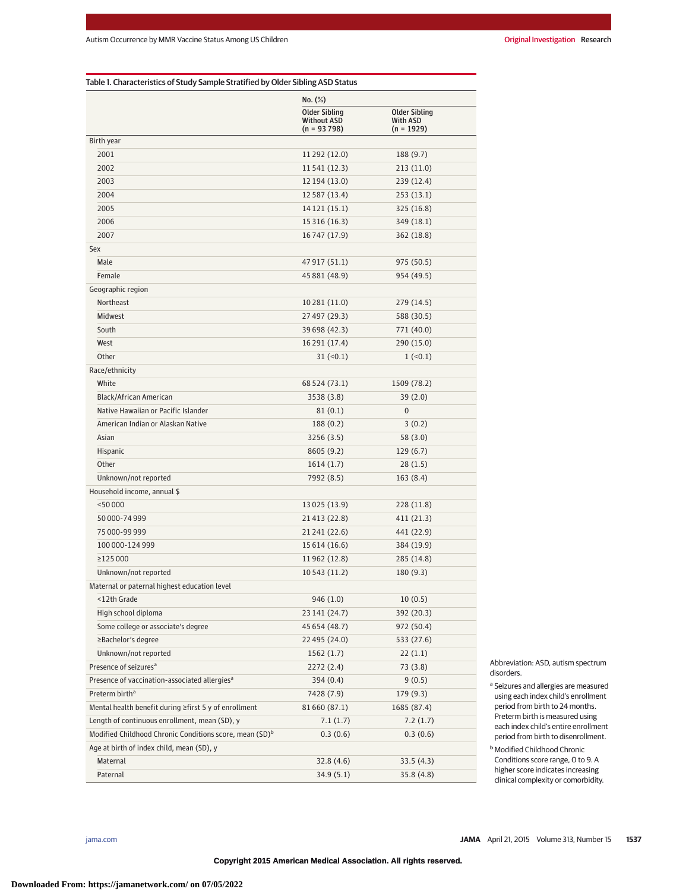| Table 1. Characteristics of Study Sample Stratified by Older Sibling ASD Status |                                                             |                                                         |  |  |  |  |  |  |
|---------------------------------------------------------------------------------|-------------------------------------------------------------|---------------------------------------------------------|--|--|--|--|--|--|
|                                                                                 | $No. (\%)$                                                  |                                                         |  |  |  |  |  |  |
|                                                                                 | <b>Older Sibling</b><br><b>Without ASD</b><br>$(n = 93798)$ | <b>Older Sibling</b><br><b>With ASD</b><br>$(n = 1929)$ |  |  |  |  |  |  |
| Birth year                                                                      |                                                             |                                                         |  |  |  |  |  |  |
| 2001                                                                            | 11 292 (12.0)                                               | 188 (9.7)                                               |  |  |  |  |  |  |
| 2002                                                                            | 11541 (12.3)                                                | 213(11.0)                                               |  |  |  |  |  |  |
| 2003                                                                            | 12 194 (13.0)                                               | 239 (12.4)                                              |  |  |  |  |  |  |
| 2004                                                                            | 12 587 (13.4)                                               | 253(13.1)                                               |  |  |  |  |  |  |
| 2005                                                                            | 14 121 (15.1)                                               | 325 (16.8)                                              |  |  |  |  |  |  |
| 2006                                                                            | 15 316 (16.3)                                               | 349 (18.1)                                              |  |  |  |  |  |  |
| 2007                                                                            | 16747 (17.9)                                                | 362 (18.8)                                              |  |  |  |  |  |  |
| Sex                                                                             |                                                             |                                                         |  |  |  |  |  |  |
| Male                                                                            | 47 917 (51.1)                                               | 975 (50.5)                                              |  |  |  |  |  |  |
| Female                                                                          | 45 881 (48.9)                                               | 954 (49.5)                                              |  |  |  |  |  |  |
| Geographic region                                                               |                                                             |                                                         |  |  |  |  |  |  |
| Northeast                                                                       | 10281 (11.0)                                                | 279 (14.5)                                              |  |  |  |  |  |  |
| <b>Midwest</b>                                                                  | 27 497 (29.3)                                               | 588 (30.5)                                              |  |  |  |  |  |  |
| South                                                                           | 39 698 (42.3)                                               | 771 (40.0)                                              |  |  |  |  |  |  |
| West                                                                            | 16 291 (17.4)                                               | 290 (15.0)                                              |  |  |  |  |  |  |
| Other                                                                           | $31 (=0.1)$                                                 | $1$ (<0.1)                                              |  |  |  |  |  |  |
| Race/ethnicity                                                                  |                                                             |                                                         |  |  |  |  |  |  |
| White                                                                           | 68 524 (73.1)                                               | 1509 (78.2)                                             |  |  |  |  |  |  |
| Black/African American                                                          | 3538 (3.8)                                                  | 39(2.0)                                                 |  |  |  |  |  |  |
| Native Hawaiian or Pacific Islander                                             | 81 (0.1)                                                    | $\overline{0}$                                          |  |  |  |  |  |  |
| American Indian or Alaskan Native                                               | 188 (0.2)                                                   | 3(0.2)                                                  |  |  |  |  |  |  |
| Asian                                                                           | 3256 (3.5)                                                  | 58 (3.0)                                                |  |  |  |  |  |  |
| Hispanic                                                                        | 8605 (9.2)                                                  | 129 (6.7)                                               |  |  |  |  |  |  |
| Other                                                                           | 1614(1.7)                                                   | 28(1.5)                                                 |  |  |  |  |  |  |
| Unknown/not reported                                                            | 7992 (8.5)                                                  | 163 (8.4)                                               |  |  |  |  |  |  |
| Household income, annual \$                                                     |                                                             |                                                         |  |  |  |  |  |  |
| $<$ 50 000                                                                      | 13 025 (13.9)                                               | 228 (11.8)                                              |  |  |  |  |  |  |
| 50 000-74 999                                                                   | 21413 (22.8)                                                | 411 (21.3)                                              |  |  |  |  |  |  |
| 75 000-99 999                                                                   | 21 241 (22.6)                                               | 441 (22.9)                                              |  |  |  |  |  |  |
| 100 000-124 999                                                                 | 15 614 (16.6)                                               | 384 (19.9)                                              |  |  |  |  |  |  |
| $\geq$ 125000                                                                   | 11962 (12.8)                                                | 285 (14.8)                                              |  |  |  |  |  |  |
| Unknown/not reported                                                            | 10 543 (11.2)                                               | 180 (9.3)                                               |  |  |  |  |  |  |
| Maternal or paternal highest education level                                    |                                                             |                                                         |  |  |  |  |  |  |
| <12th Grade                                                                     | 946 (1.0)                                                   | 10(0.5)                                                 |  |  |  |  |  |  |
| High school diploma                                                             | 23 141 (24.7)                                               | 392 (20.3)                                              |  |  |  |  |  |  |
| Some college or associate's degree                                              | 45 654 (48.7)                                               | 972 (50.4)                                              |  |  |  |  |  |  |
| ≥Bachelor's degree                                                              | 22 495 (24.0)                                               | 533 (27.6)                                              |  |  |  |  |  |  |
| Unknown/not reported                                                            | 1562(1.7)                                                   | 22(1.1)                                                 |  |  |  |  |  |  |
| Presence of seizures <sup>a</sup>                                               | 2272(2.4)                                                   | 73 (3.8)                                                |  |  |  |  |  |  |
| Presence of vaccination-associated allergies <sup>a</sup>                       | 394 (0.4)                                                   | 9 (0.5)                                                 |  |  |  |  |  |  |
| Preterm birth <sup>a</sup>                                                      | 7428 (7.9)                                                  | 179 (9.3)                                               |  |  |  |  |  |  |
| Mental health benefit during ≥first 5 y of enrollment                           | 81660 (87.1)                                                | 1685 (87.4)                                             |  |  |  |  |  |  |
| Length of continuous enrollment, mean (SD), y                                   | 7.1(1.7)                                                    | 7.2(1.7)                                                |  |  |  |  |  |  |
| Modified Childhood Chronic Conditions score, mean (SD) <sup>b</sup>             | 0.3(0.6)                                                    | 0.3(0.6)                                                |  |  |  |  |  |  |
| Age at birth of index child, mean (SD), y                                       |                                                             |                                                         |  |  |  |  |  |  |
| Maternal                                                                        | 32.8 (4.6)                                                  | 33.5(4.3)                                               |  |  |  |  |  |  |
| Paternal                                                                        | 34.9(5.1)                                                   | 35.8 (4.8)                                              |  |  |  |  |  |  |

Abbreviation: ASD, autism spectrum disorders.

<sup>a</sup> Seizures and allergies are measured using each index child's enrollment period from birth to 24 months. Preterm birth is measured using each index child's entire enrollment period from birth to disenrollment.

**b** Modified Childhood Chronic Conditions score range, 0 to 9. A higher score indicates increasing clinical complexity or comorbidity.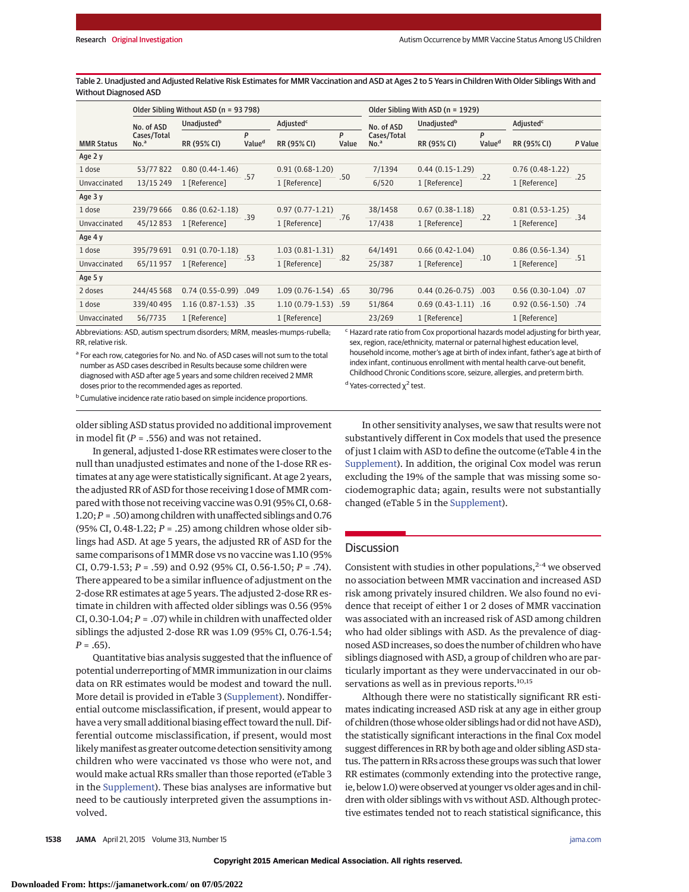Table 2. Unadjusted and Adjusted Relative Risk Estimates for MMR Vaccination and ASD at Ages 2 to 5 Years in Children With Older Siblings With and Without Diagnosed ASD

|                   | Older Sibling Without ASD (n = 93 798) |                                                                                                                                  |                         |                       | Older Sibling With ASD (n = 1929) |                                 |                        |                         |                       |         |
|-------------------|----------------------------------------|----------------------------------------------------------------------------------------------------------------------------------|-------------------------|-----------------------|-----------------------------------|---------------------------------|------------------------|-------------------------|-----------------------|---------|
|                   | No. of ASD                             | Unadjusted <sup>b</sup>                                                                                                          |                         | Adjusted <sup>c</sup> |                                   | Unadjustedb<br>No. of ASD       |                        | Adjusted <sup>c</sup>   |                       |         |
| <b>MMR Status</b> | Cases/Total<br>No. <sup>a</sup>        | RR (95% CI)                                                                                                                      | P<br>Value <sup>d</sup> | RR (95% CI)           | P<br>Value                        | Cases/Total<br>No. <sup>a</sup> | RR (95% CI)            | P<br>Value <sup>d</sup> | RR (95% CI)           | P Value |
| Age 2 y           |                                        |                                                                                                                                  |                         |                       |                                   |                                 |                        |                         |                       |         |
| 1 dose            | 53/77822                               | $0.80(0.44-1.46)$                                                                                                                | .57                     | $0.91(0.68-1.20)$     | .50                               | 7/1394                          | $0.44(0.15-1.29)$      | .22                     | $0.76(0.48-1.22)$     | .25     |
| Unvaccinated      | 13/15 249                              | 1 [Reference]                                                                                                                    |                         | 1 [Reference]         |                                   | 6/520                           | 1 [Reference]          |                         | 1 [Reference]         |         |
| Age 3 y           |                                        |                                                                                                                                  |                         |                       |                                   |                                 |                        |                         |                       |         |
| 1 dose            | 239/79 666                             | $0.86(0.62 - 1.18)$                                                                                                              | .39                     | $0.97(0.77-1.21)$     |                                   | 38/1458                         | $0.67(0.38-1.18)$      | .22                     | $0.81(0.53-1.25)$     | .34     |
| Unvaccinated      | 45/12853                               | 1 [Reference]                                                                                                                    |                         | 1 [Reference]         | .76                               | 17/438                          | 1 [Reference]          |                         | 1 [Reference]         |         |
| Age 4 y           |                                        |                                                                                                                                  |                         |                       |                                   |                                 |                        |                         |                       |         |
| 1 dose            | 395/79 691                             | $0.91(0.70-1.18)$                                                                                                                | .53                     | $1.03(0.81-1.31)$     | .82                               | 64/1491                         | $0.66(0.42-1.04)$      |                         | $0.86(0.56-1.34)$     | .51     |
| Unvaccinated      | 65/11957                               | 1 [Reference]                                                                                                                    |                         | 1 [Reference]         |                                   | 25/387                          | 1 [Reference]          | .10                     | 1 [Reference]         |         |
| Age 5 y           |                                        |                                                                                                                                  |                         |                       |                                   |                                 |                        |                         |                       |         |
| 2 doses           | 244/45 568                             | $0.74(0.55-0.99)$ .049                                                                                                           |                         | $1.09(0.76-1.54)$ .65 |                                   | 30/796                          | $0.44(0.26-0.75)$ .003 |                         | $0.56(0.30-1.04)$ .07 |         |
| 1 dose            | 339/40 495                             | $1.16(0.87-1.53)$ .35                                                                                                            |                         | $1.10(0.79-1.53)$ .59 |                                   | 51/864                          | $0.69(0.43-1.11)$ .16  |                         | $0.92(0.56-1.50)$ .74 |         |
| Unvaccinated      | 56/7735                                | 1 [Reference]<br>the contract of the contract of the contract of the contract of the contract of the contract of the contract of |                         | 1 [Reference]         |                                   | 23/269                          | 1 [Reference]          |                         | 1 [Reference]<br>.    |         |

Abbreviations: ASD, autism spectrum disorders; MRM, measles-mumps-rubella; RR, relative risk.

<sup>a</sup> For each row, categories for No. and No. of ASD cases will not sum to the total number as ASD cases described in Results because some children were diagnosed with ASD after age 5 years and some children received 2 MMR doses prior to the recommended ages as reported.

<sup>c</sup> Hazard rate ratio from Cox proportional hazards model adjusting for birth year, sex, region, race/ethnicity, maternal or paternal highest education level, household income, mother's age at birth of index infant, father's age at birth of index infant, continuous enrollment with mental health carve-out benefit, Childhood Chronic Conditions score, seizure, allergies, and preterm birth. <sup>d</sup> Yates-corrected  $χ²$  test.

**b** Cumulative incidence rate ratio based on simple incidence proportions.

older sibling ASD status provided no additional improvement in model fit (*P* = .556) and was not retained.

In general, adjusted 1-dose RR estimates were closer to the null than unadjusted estimates and none of the 1-dose RR estimates at any age were statistically significant. At age 2 years, the adjusted RR of ASD for those receiving 1 dose of MMR compared with those not receiving vaccine was 0.91 (95% CI, 0.68- 1.20;*P* = .50) among children with unaffected siblings and 0.76 (95% CI, 0.48-1.22; *P* = .25) among children whose older siblings had ASD. At age 5 years, the adjusted RR of ASD for the same comparisons of 1 MMR dose vs no vaccine was 1.10 (95% CI, 0.79-1.53; *P* = .59) and 0.92 (95% CI, 0.56-1.50; *P* = .74). There appeared to be a similar influence of adjustment on the 2-dose RR estimates at age 5 years. The adjusted 2-dose RR estimate in children with affected older siblings was 0.56 (95% CI,  $0.30$ -1.04;  $P = 0.07$ ) while in children with unaffected older siblings the adjusted 2-dose RR was 1.09 (95% CI, 0.76-1.54;  $P = .65$ ).

Quantitative bias analysis suggested that the influence of potential underreporting of MMR immunization in our claims data on RR estimates would be modest and toward the null. More detail is provided in eTable 3 [\(Supplement\)](http://jama.jamanetwork.com/article.aspx?doi=10.1001/jama.2015.3077&utm_campaign=articlePDF%26utm_medium=articlePDFlink%26utm_source=articlePDF%26utm_content=jama.2015.3077). Nondifferential outcome misclassification, if present, would appear to have a very small additional biasing effect toward the null. Differential outcome misclassification, if present, would most likely manifest as greater outcome detection sensitivity among children who were vaccinated vs those who were not, and would make actual RRs smaller than those reported (eTable 3 in the [Supplement\)](http://jama.jamanetwork.com/article.aspx?doi=10.1001/jama.2015.3077&utm_campaign=articlePDF%26utm_medium=articlePDFlink%26utm_source=articlePDF%26utm_content=jama.2015.3077). These bias analyses are informative but need to be cautiously interpreted given the assumptions involved.

In other sensitivity analyses, we saw that results were not substantively different in Cox models that used the presence of just 1 claim with ASD to define the outcome (eTable 4 in the [Supplement\)](http://jama.jamanetwork.com/article.aspx?doi=10.1001/jama.2015.3077&utm_campaign=articlePDF%26utm_medium=articlePDFlink%26utm_source=articlePDF%26utm_content=jama.2015.3077). In addition, the original Cox model was rerun excluding the 19% of the sample that was missing some sociodemographic data; again, results were not substantially changed (eTable 5 in the [Supplement\)](http://jama.jamanetwork.com/article.aspx?doi=10.1001/jama.2015.3077&utm_campaign=articlePDF%26utm_medium=articlePDFlink%26utm_source=articlePDF%26utm_content=jama.2015.3077).

# **Discussion**

Consistent with studies in other populations,  $2-4$  we observed no association between MMR vaccination and increased ASD risk among privately insured children. We also found no evidence that receipt of either 1 or 2 doses of MMR vaccination was associated with an increased risk of ASD among children who had older siblings with ASD. As the prevalence of diagnosed ASD increases, so does the number of children who have siblings diagnosed with ASD, a group of children who are particularly important as they were undervaccinated in our observations as well as in previous reports.<sup>10,15</sup>

Although there were no statistically significant RR estimates indicating increased ASD risk at any age in either group of children (thosewhose older siblings had or did not have ASD), the statistically significant interactions in the final Cox model suggest differences in RR by both age and older sibling ASD status. The pattern in RRs across these groups was such that lower RR estimates (commonly extending into the protective range, ie, below 1.0) were observed at younger vs older ages and in children with older siblings with vs without ASD. Although protective estimates tended not to reach statistical significance, this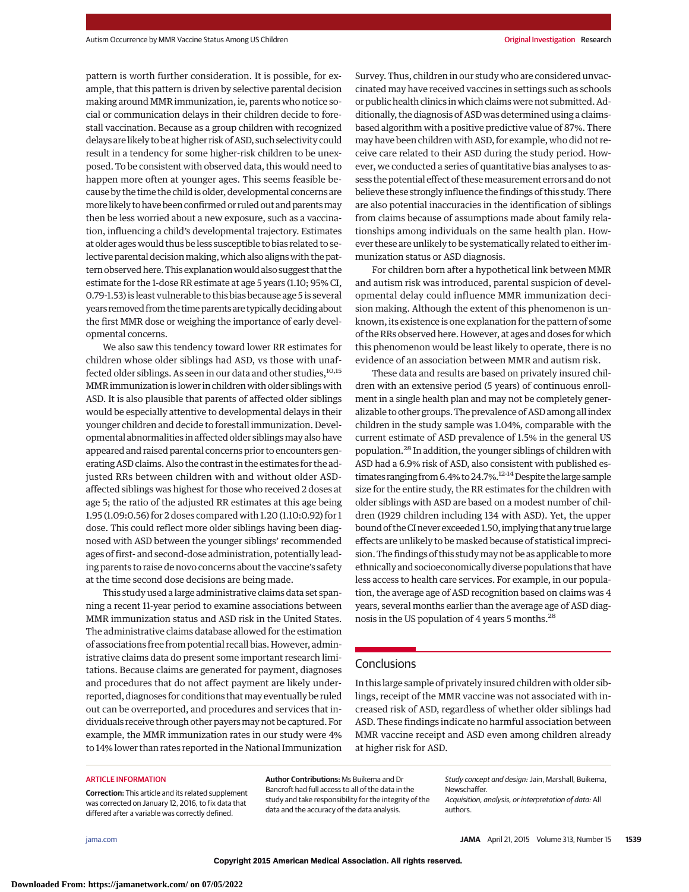pattern is worth further consideration. It is possible, for example, that this pattern is driven by selective parental decision making around MMR immunization, ie, parents who notice social or communication delays in their children decide to forestall vaccination. Because as a group children with recognized delays are likely to be at higher risk of ASD, such selectivity could result in a tendency for some higher-risk children to be unexposed. To be consistent with observed data, this would need to happen more often at younger ages. This seems feasible because by the time the child is older, developmental concerns are more likely to have been confirmed or ruled out and parents may then be less worried about a new exposure, such as a vaccination, influencing a child's developmental trajectory. Estimates at older ages would thus be less susceptible to bias related to selective parental decision making, which also aligns with the pattern observed here. This explanationwould also suggest that the estimate for the 1-dose RR estimate at age 5 years (1.10; 95% CI, 0.79-1.53) is least vulnerable to this bias because age 5 is several years removed from the time parents are typically deciding about the first MMR dose or weighing the importance of early developmental concerns.

We also saw this tendency toward lower RR estimates for children whose older siblings had ASD, vs those with unaffected older siblings. As seen in our data and other studies, 10,15 MMR immunization is lower in children with older siblings with ASD. It is also plausible that parents of affected older siblings would be especially attentive to developmental delays in their younger children and decide to forestall immunization. Developmental abnormalities in affected older siblings may also have appeared and raised parental concerns prior to encounters generating ASD claims. Also the contrast in the estimates for the adjusted RRs between children with and without older ASDaffected siblings was highest for those who received 2 doses at age 5; the ratio of the adjusted RR estimates at this age being 1.95 (1.09:0.56) for 2 doses compared with 1.20 (1.10:0.92) for 1 dose. This could reflect more older siblings having been diagnosed with ASD between the younger siblings' recommended ages of first- and second-dose administration, potentially leading parents to raise de novo concerns about the vaccine's safety at the time second dose decisions are being made.

This study used a large administrative claims data set spanning a recent 11-year period to examine associations between MMR immunization status and ASD risk in the United States. The administrative claims database allowed for the estimation of associations free from potential recall bias. However, administrative claims data do present some important research limitations. Because claims are generated for payment, diagnoses and procedures that do not affect payment are likely underreported, diagnoses for conditions that may eventually be ruled out can be overreported, and procedures and services that individuals receive through other payersmay not be captured. For example, the MMR immunization rates in our study were 4% to 14% lower than rates reported in the National Immunization Survey. Thus, children in our study who are considered unvaccinated may have received vaccines in settings such as schools or public health clinics in which claims were not submitted. Additionally, the diagnosis of ASD was determined using a claimsbased algorithm with a positive predictive value of 87%. There may have been children with ASD, for example, who did not receive care related to their ASD during the study period. However, we conducted a series of quantitative bias analyses to assess the potential effect of thesemeasurement errors and do not believe these strongly influence the findings of this study. There are also potential inaccuracies in the identification of siblings from claims because of assumptions made about family relationships among individuals on the same health plan. However these are unlikely to be systematically related to either immunization status or ASD diagnosis.

For children born after a hypothetical link between MMR and autism risk was introduced, parental suspicion of developmental delay could influence MMR immunization decision making. Although the extent of this phenomenon is unknown, its existence is one explanation for the pattern of some of the RRs observed here. However, at ages and doses for which this phenomenon would be least likely to operate, there is no evidence of an association between MMR and autism risk.

These data and results are based on privately insured children with an extensive period (5 years) of continuous enrollment in a single health plan and may not be completely generalizable to other groups. The prevalence of ASD among all index children in the study sample was 1.04%, comparable with the current estimate of ASD prevalence of 1.5% in the general US population.28 In addition, the younger siblings of children with ASD had a 6.9% risk of ASD, also consistent with published estimates ranging from 6.4% to 24.7%.<sup>12-14</sup> Despite the large sample size for the entire study, the RR estimates for the children with older siblings with ASD are based on a modest number of children (1929 children including 134 with ASD). Yet, the upper bound of the CI never exceeded 1.50, implying that any true large effects are unlikely to be masked because of statistical imprecision. The findings of this studymay not be as applicable tomore ethnically and socioeconomically diverse populations that have less access to health care services. For example, in our population, the average age of ASD recognition based on claims was 4 years, several months earlier than the average age of ASD diagnosis in the US population of 4 years 5 months.<sup>28</sup>

#### **Conclusions**

In this large sample of privately insured children with older siblings, receipt of the MMR vaccine was not associated with increased risk of ASD, regardless of whether older siblings had ASD. These findings indicate no harmful association between MMR vaccine receipt and ASD even among children already at higher risk for ASD.

#### **ARTICLE INFORMATION**

**Correction:** This article and its related supplement was corrected on January 12, 2016, to fix data that differed after a variable was correctly defined.

**Author Contributions:** Ms Buikema and Dr Bancroft had full access to all of the data in the study and take responsibility for the integrity of the data and the accuracy of the data analysis.

Study concept and design: Jain, Marshall, Buikema, **Newschaffer** Acquisition, analysis, or interpretation of data: All

authors.